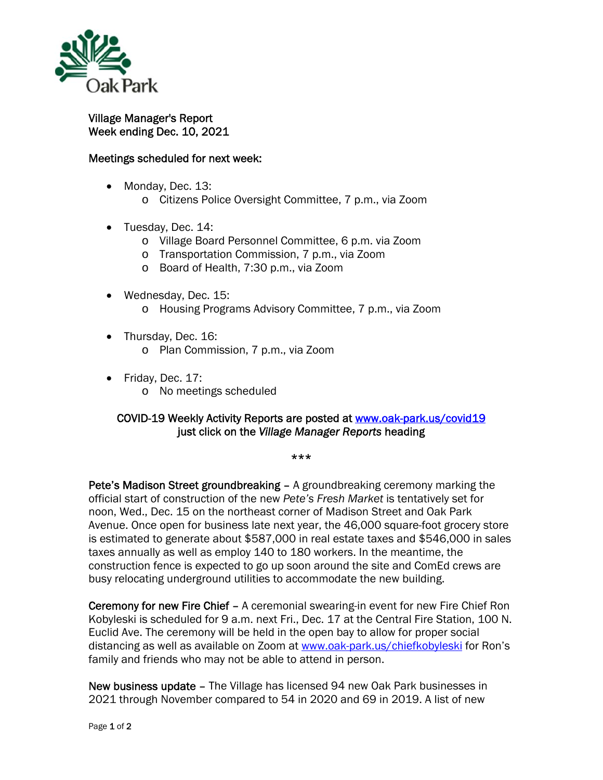

## Village Manager's Report Week ending Dec. 10, 2021

## Meetings scheduled for next week:

- Monday, Dec. 13:
	- o Citizens Police Oversight Committee, 7 p.m., via Zoom
- Tuesday, Dec. 14:
	- o Village Board Personnel Committee, 6 p.m. via Zoom
	- o Transportation Commission, 7 p.m., via Zoom
	- o Board of Health, 7:30 p.m., via Zoom
- Wednesday, Dec. 15:
	- o Housing Programs Advisory Committee, 7 p.m., via Zoom
- Thursday, Dec. 16:
	- o Plan Commission, 7 p.m., via Zoom
- Friday, Dec. 17:
	- o No meetings scheduled

## COVID-19 Weekly Activity Reports are posted at www.oak-park.us/covid19 just click on the *Village Manager Reports* heading

\*\*\*

Pete's Madison Street groundbreaking – A groundbreaking ceremony marking the official start of construction of the new *Pete's Fresh Market* is tentatively set for noon, Wed., Dec. 15 on the northeast corner of Madison Street and Oak Park Avenue. Once open for business late next year, the 46,000 square-foot grocery store is estimated to generate about \$587,000 in real estate taxes and \$546,000 in sales taxes annually as well as employ 140 to 180 workers. In the meantime, the construction fence is expected to go up soon around the site and ComEd crews are busy relocating underground utilities to accommodate the new building.

Ceremony for new Fire Chief – A ceremonial swearing-in event for new Fire Chief Ron Kobyleski is scheduled for 9 a.m. next Fri., Dec. 17 at the Central Fire Station, 100 N. Euclid Ave. The ceremony will be held in the open bay to allow for proper social distancing as well as available on Zoom at www.oak-park.us/chiefkobyleski for Ron's family and friends who may not be able to attend in person.

New business update – The Village has licensed 94 new Oak Park businesses in 2021 through November compared to 54 in 2020 and 69 in 2019. A list of new